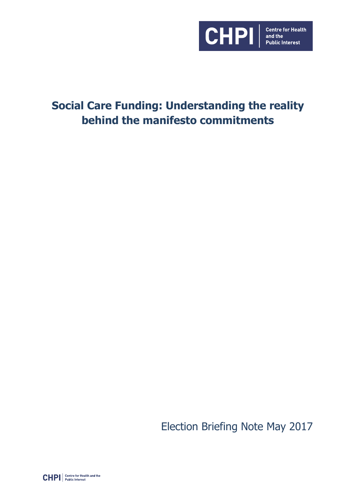

# **Social Care Funding: Understanding the reality behind the manifesto commitments**

Election Briefing Note May 2017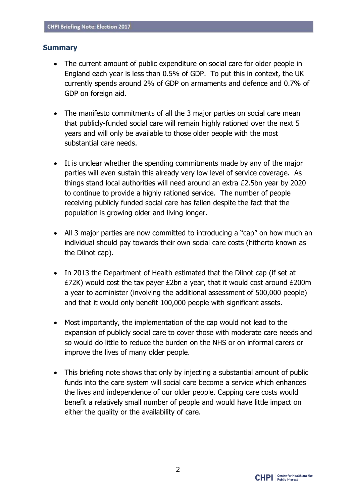#### **Summary**

- The current amount of public expenditure on social care for older people in England each year is less than 0.5% of GDP. To put this in context, the UK currently spends around 2% of GDP on armaments and defence and 0.7% of GDP on foreign aid.
- The manifesto commitments of all the 3 major parties on social care mean that publicly-funded social care will remain highly rationed over the next 5 years and will only be available to those older people with the most substantial care needs.
- It is unclear whether the spending commitments made by any of the major parties will even sustain this already very low level of service coverage. As things stand local authorities will need around an extra £2.5bn year by 2020 to continue to provide a highly rationed service. The number of people receiving publicly funded social care has fallen despite the fact that the population is growing older and living longer.
- All 3 major parties are now committed to introducing a "cap" on how much an individual should pay towards their own social care costs (hitherto known as the Dilnot cap).
- In 2013 the Department of Health estimated that the Dilnot cap (if set at £72K) would cost the tax payer £2bn a year, that it would cost around £200m a year to administer (involving the additional assessment of 500,000 people) and that it would only benefit 100,000 people with significant assets.
- Most importantly, the implementation of the cap would not lead to the expansion of publicly social care to cover those with moderate care needs and so would do little to reduce the burden on the NHS or on informal carers or improve the lives of many older people.
- This briefing note shows that only by injecting a substantial amount of public funds into the care system will social care become a service which enhances the lives and independence of our older people. Capping care costs would benefit a relatively small number of people and would have little impact on either the quality or the availability of care.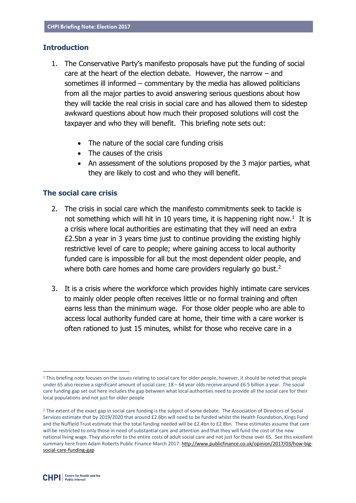#### **Introduction**

- 1. The Conservative Party's manifesto proposals have put the funding of social care at the heart of the election debate. However, the narrow – and sometimes ill informed – commentary by the media has allowed politicians from all the major parties to avoid answering serious questions about how they will tackle the real crisis in social care and has allowed them to sidestep awkward questions about how much their proposed solutions will cost the taxpayer and who they will benefit. This briefing note sets out:
	- The nature of the social care funding crisis
	- The causes of the crisis
	- An assessment of the solutions proposed by the 3 major parties, what they are likely to cost and who they will benefit.

### **The social care crisis**

- 2. The crisis in social care which the manifesto commitments seek to tackle is not something which will hit in 10 years time, it is happening right now.<sup>1</sup> It is a crisis where local authorities are estimating that they will need an extra £2.5bn a year in 3 years time just to continue providing the existing highly restrictive level of care to people; where gaining access to local authority funded care is impossible for all but the most dependent older people, and where both care homes and home care providers regularly go bust.<sup>2</sup>
- 3. It is a crisis where the workforce which provides highly intimate care services to mainly older people often receives little or no formal training and often earns less than the minimum wage. For those older people who are able to access local authority funded care at home, their time with a care worker is often rationed to just 15 minutes, whilst for those who receive care in a

<sup>&</sup>lt;sup>1</sup> This briefing note focuses on the issues relating to social care for older people, however, it should be noted that people under 65 also receive a significant amount of social care; 18 – 64 year olds receive around £6.5 billion a year. The social care funding gap set out here includes the gap between what local authorities need to provide all the social care for their local populations and not just for older people

<sup>&</sup>lt;sup>2</sup> The extent of the exact gap in social care funding is the subject of some debate. The Association of Directors of Social Services estimate that by 2019/2020 that around £2.6bn will need to be funded whilst the Health Foundation, Kings Fund and the Nuffield Trust estimate that the total funding needed will be £2.4bn to £2.8bn. These estimates assume that care will be restricted to only those in need of substantial care and attention and that they will fund the cost of the new national living wage. They also refer to the entire costs of adult social care and not just for those over 65. See this excellent summary here from Adam Roberts Public Finance March 2017[: http://www.publicfinance.co.uk/opinion/2017/03/how-big](http://www.publicfinance.co.uk/opinion/2017/03/how-big-social-care-funding-gap)[social-care-funding-gap](http://www.publicfinance.co.uk/opinion/2017/03/how-big-social-care-funding-gap)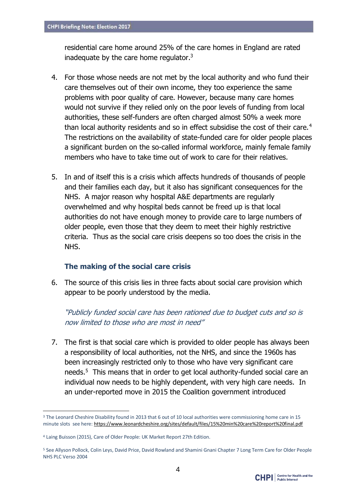residential care home around 25% of the care homes in England are rated inadequate by the care home regulator. $3$ 

- 4. For those whose needs are not met by the local authority and who fund their care themselves out of their own income, they too experience the same problems with poor quality of care. However, because many care homes would not survive if they relied only on the poor levels of funding from local authorities, these self-funders are often charged almost 50% a week more than local authority residents and so in effect subsidise the cost of their care. $4$ The restrictions on the availability of state-funded care for older people places a significant burden on the so-called informal workforce, mainly female family members who have to take time out of work to care for their relatives.
- 5. In and of itself this is a crisis which affects hundreds of thousands of people and their families each day, but it also has significant consequences for the NHS. A major reason why hospital A&E departments are regularly overwhelmed and why hospital beds cannot be freed up is that local authorities do not have enough money to provide care to large numbers of older people, even those that they deem to meet their highly restrictive criteria. Thus as the social care crisis deepens so too does the crisis in the NHS.

### **The making of the social care crisis**

6. The source of this crisis lies in three facts about social care provision which appear to be poorly understood by the media.

"Publicly funded social care has been rationed due to budget cuts and so is now limited to those who are most in need"

7. The first is that social care which is provided to older people has always been a responsibility of local authorities, not the NHS, and since the 1960s has been increasingly restricted only to those who have very significant care needs.<sup>5</sup> This means that in order to get local authority-funded social care an individual now needs to be highly dependent, with very high care needs. In an under-reported move in 2015 the Coalition government introduced

<sup>&</sup>lt;sup>3</sup> The Leonard Cheshire Disability found in 2013 that 6 out of 10 local authorities were commissioning home care in 15 minute slots see here[: https://www.leonardcheshire.org/sites/default/files/15%20min%20care%20report%20final.pdf](https://www.leonardcheshire.org/sites/default/files/15%20min%20care%20report%20final.pdf)

<sup>4</sup> Laing Buisson (2015), Care of Older People: UK Market Report 27th Edition.

<sup>5</sup> See Allyson Pollock, Colin Leys, David Price, David Rowland and Shamini Gnani Chapter 7 Long Term Care for Older People NHS PLC Verso 2004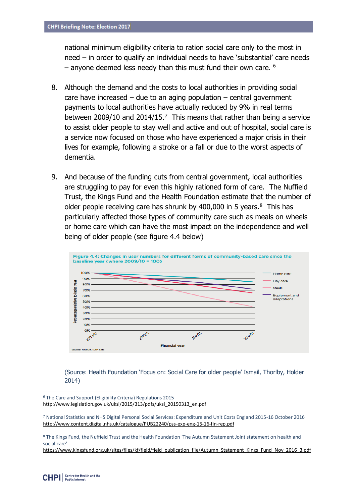national minimum eligibility criteria to ration social care only to the most in need – in order to qualify an individual needs to have 'substantial' care needs  $-$  anyone deemed less needy than this must fund their own care.  $6$ 

- 8. Although the demand and the costs to local authorities in providing social care have increased – due to an aging population – central government payments to local authorities have actually reduced by 9% in real terms between 2009/10 and 2014/15.<sup>7</sup> This means that rather than being a service to assist older people to stay well and active and out of hospital, social care is a service now focused on those who have experienced a major crisis in their lives for example, following a stroke or a fall or due to the worst aspects of dementia.
- 9. And because of the funding cuts from central government, local authorities are struggling to pay for even this highly rationed form of care. The Nuffield Trust, the Kings Fund and the Health Foundation estimate that the number of older people receiving care has shrunk by  $400,000$  in 5 years. $8$  This has particularly affected those types of community care such as meals on wheels or home care which can have the most impact on the independence and well being of older people (see figure 4.4 below)



(Source: Health Foundation 'Focus on: Social Care for older people' Ismail, Thorlby, Holder 2014)

[https://www.kingsfund.org.uk/sites/files/kf/field/field\\_publication\\_file/Autumn\\_Statement\\_Kings\\_Fund\\_Nov\\_2016\\_3.pdf](https://www.kingsfund.org.uk/sites/files/kf/field/field_publication_file/Autumn_Statement_Kings_Fund_Nov_2016_3.pdf)

<u>.</u>

<sup>6</sup> The Care and Support (Eligibility Criteria) Regulations 2015 [http://www.legislation.gov.uk/uksi/2015/313/pdfs/uksi\\_20150313\\_en.pdf](http://www.legislation.gov.uk/uksi/2015/313/pdfs/uksi_20150313_en.pdf)

<sup>7</sup> National Statistics and NHS Digital Personal Social Services: Expenditure and Unit Costs England 2015-16 October 2016 <http://www.content.digital.nhs.uk/catalogue/PUB22240/pss-exp-eng-15-16-fin-rep.pdf>

<sup>8</sup> The Kings Fund, the Nuffield Trust and the Health Foundation 'The Autumn Statement Joint statement on health and social care'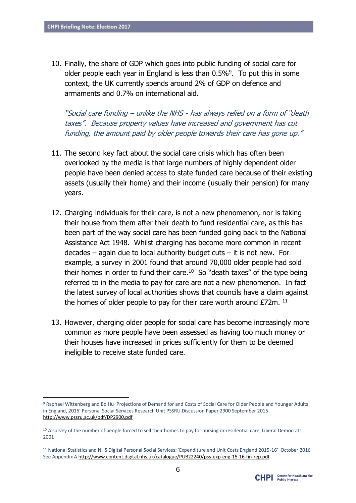<u>.</u>

10. Finally, the share of GDP which goes into public funding of social care for older people each year in England is less than  $0.5\%$ <sup>9</sup>. To put this in some context, the UK currently spends around 2% of GDP on defence and armaments and 0.7% on international aid.

"Social care funding – unlike the NHS - has always relied on a form of "death taxes". Because property values have increased and government has cut funding, the amount paid by older people towards their care has gone up."

- 11. The second key fact about the social care crisis which has often been overlooked by the media is that large numbers of highly dependent older people have been denied access to state funded care because of their existing assets (usually their home) and their income (usually their pension) for many years.
- 12. Charging individuals for their care, is not a new phenomenon, nor is taking their house from them after their death to fund residential care, as this has been part of the way social care has been funded going back to the National Assistance Act 1948. Whilst charging has become more common in recent decades – again due to local authority budget cuts – it is not new. For example, a survey in 2001 found that around 70,000 older people had sold their homes in order to fund their care. $10$  So "death taxes" of the type being referred to in the media to pay for care are not a new phenomenon. In fact the latest survey of local authorities shows that councils have a claim against the homes of older people to pay for their care worth around  $E72m$ .  $^{11}$
- 13. However, charging older people for social care has become increasingly more common as more people have been assessed as having too much money or their houses have increased in prices sufficiently for them to be deemed ineligible to receive state funded care.

<sup>9</sup> Raphael Wittenberg and Bo Hu 'Projections of Demand for and Costs of Social Care for Older People and Younger Adults in England, 2015' Personal Social Services Research Unit PSSRU Discussion Paper 2900 September 2015 <http://www.pssru.ac.uk/pdf/DP2900.pdf>

<sup>&</sup>lt;sup>10</sup> A survey of the number of people forced to sell their homes to pay for nursing or residential care, Liberal Democrats 2001

<sup>11</sup> National Statistics and NHS Digital Personal Social Services: 'Expenditure and Unit Costs England 2015-16' October 2016 See Appendix [A http://www.content.digital.nhs.uk/catalogue/PUB22240/pss-exp-eng-15-16-fin-rep.pdf](http://www.content.digital.nhs.uk/catalogue/PUB22240/pss-exp-eng-15-16-fin-rep.pdf)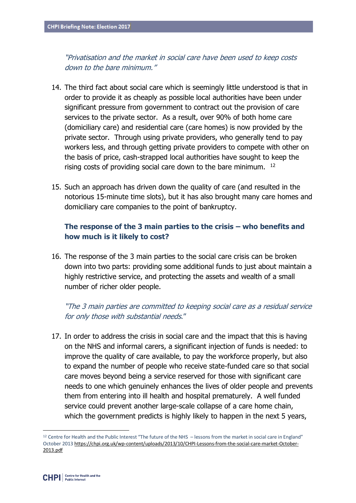"Privatisation and the market in social care have been used to keep costs down to the bare minimum."

- 14. The third fact about social care which is seemingly little understood is that in order to provide it as cheaply as possible local authorities have been under significant pressure from government to contract out the provision of care services to the private sector. As a result, over 90% of both home care (domiciliary care) and residential care (care homes) is now provided by the private sector. Through using private providers, who generally tend to pay workers less, and through getting private providers to compete with other on the basis of price, cash-strapped local authorities have sought to keep the rising costs of providing social care down to the bare minimum. <sup>12</sup>
- 15. Such an approach has driven down the quality of care (and resulted in the notorious 15-minute time slots), but it has also brought many care homes and domiciliary care companies to the point of bankruptcy.

# **The response of the 3 main parties to the crisis – who benefits and how much is it likely to cost?**

16. The response of the 3 main parties to the social care crisis can be broken down into two parts: providing some additional funds to just about maintain a highly restrictive service, and protecting the assets and wealth of a small number of richer older people.

"The 3 main parties are committed to keeping social care as a residual service for only those with substantial needs."

17. In order to address the crisis in social care and the impact that this is having on the NHS and informal carers, a significant injection of funds is needed: to improve the quality of care available, to pay the workforce properly, but also to expand the number of people who receive state-funded care so that social care moves beyond being a service reserved for those with significant care needs to one which genuinely enhances the lives of older people and prevents them from entering into ill health and hospital prematurely. A well funded service could prevent another large-scale collapse of a care home chain, which the government predicts is highly likely to happen in the next 5 years,

 $12$  Centre for Health and the Public Interest "The future of the NHS – lessons from the market in social care in England" October 201[3 https://chpi.org.uk/wp-content/uploads/2013/10/CHPI-Lessons-from-the-social-care-market-October-](https://chpi.org.uk/wp-content/uploads/2013/10/CHPI-Lessons-from-the-social-care-market-October-2013.pdf)[2013.pdf](https://chpi.org.uk/wp-content/uploads/2013/10/CHPI-Lessons-from-the-social-care-market-October-2013.pdf)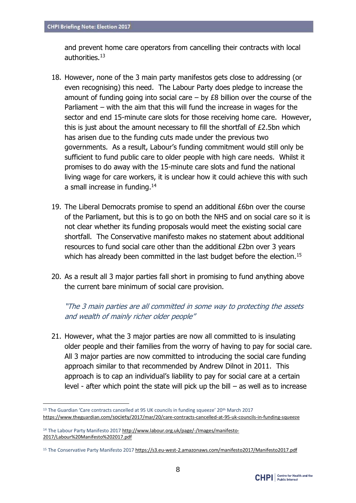and prevent home care operators from cancelling their contracts with local authorities.<sup>13</sup>

- 18. However, none of the 3 main party manifestos gets close to addressing (or even recognising) this need. The Labour Party does pledge to increase the amount of funding going into social care  $-$  by £8 billion over the course of the Parliament – with the aim that this will fund the increase in wages for the sector and end 15-minute care slots for those receiving home care. However, this is just about the amount necessary to fill the shortfall of £2.5bn which has arisen due to the funding cuts made under the previous two governments. As a result, Labour's funding commitment would still only be sufficient to fund public care to older people with high care needs. Whilst it promises to do away with the 15-minute care slots and fund the national living wage for care workers, it is unclear how it could achieve this with such a small increase in funding.<sup>14</sup>
- 19. The Liberal Democrats promise to spend an additional £6bn over the course of the Parliament, but this is to go on both the NHS and on social care so it is not clear whether its funding proposals would meet the existing social care shortfall. The Conservative manifesto makes no statement about additional resources to fund social care other than the additional £2bn over 3 years which has already been committed in the last budget before the election.<sup>15</sup>
- 20. As a result all 3 major parties fall short in promising to fund anything above the current bare minimum of social care provision.

"The 3 main parties are all committed in some way to protecting the assets and wealth of mainly richer older people"

21. However, what the 3 major parties are now all committed to is insulating older people and their families from the worry of having to pay for social care. All 3 major parties are now committed to introducing the social care funding approach similar to that recommended by Andrew Dilnot in 2011. This approach is to cap an individual's liability to pay for social care at a certain level - after which point the state will pick up the bill – as well as to increase

<sup>13</sup> The Guardian 'Care contracts cancelled at 95 UK councils in funding squeeze' 20<sup>th</sup> March 2017 https://www.theguardian.com/society[/2017/mar/20/care-contracts-cancelled-at-95-uk-councils-in-funding-squeeze](https://www.theguardian.com/society/2017/mar/20/care-contracts-cancelled-at-95-uk-councils-in-funding-squeeze)

<sup>&</sup>lt;sup>14</sup> The Labour Party Manifesto 201[7 http://www.labour.org.uk/page/-/Images/manifesto-](http://www.labour.org.uk/page/-/Images/manifesto-2017/Labour%20Manifesto%202017.pdf)[2017/Labour%20Manifesto%202017.pdf](http://www.labour.org.uk/page/-/Images/manifesto-2017/Labour%20Manifesto%202017.pdf)

<sup>15</sup> The Conservative Party Manifesto 201[7 https://s3.eu-west-2.amazonaws.com/manifesto2017/Manifesto2017.pdf](https://s3.eu-west-2.amazonaws.com/manifesto2017/Manifesto2017.pdf)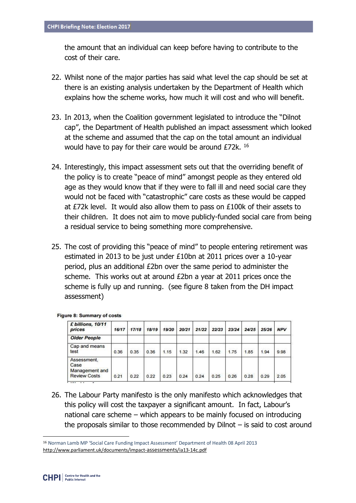the amount that an individual can keep before having to contribute to the cost of their care.

- 22. Whilst none of the major parties has said what level the cap should be set at there is an existing analysis undertaken by the Department of Health which explains how the scheme works, how much it will cost and who will benefit.
- 23. In 2013, when the Coalition government legislated to introduce the "Dilnot cap", the Department of Health published an impact assessment which looked at the scheme and assumed that the cap on the total amount an individual would have to pay for their care would be around £72k. <sup>16</sup>
- 24. Interestingly, this impact assessment sets out that the overriding benefit of the policy is to create "peace of mind" amongst people as they entered old age as they would know that if they were to fall ill and need social care they would not be faced with "catastrophic" care costs as these would be capped at £72k level. It would also allow them to pass on £100k of their assets to their children. It does not aim to move publicly-funded social care from being a residual service to being something more comprehensive.
- 25. The cost of providing this "peace of mind" to people entering retirement was estimated in 2013 to be just under £10bn at 2011 prices over a 10-year period, plus an additional £2bn over the same period to administer the scheme. This works out at around £2bn a year at 2011 prices once the scheme is fully up and running. (see figure 8 taken from the DH impact assessment)

| £ billions, 10/11<br>prices                                  | 16/17 | 17/18 | 18/19 | 19/20 | 20/21 | 21/22 | 22/23 | 23/24 | 24/25 | 25/26 | <b>NPV</b> |
|--------------------------------------------------------------|-------|-------|-------|-------|-------|-------|-------|-------|-------|-------|------------|
| <b>Older People</b>                                          |       |       |       |       |       |       |       |       |       |       |            |
| Cap and means<br>test                                        | 0.36  | 0.35  | 0.36  | 1.15  | 1.32  | 1.46  | 1.62  | 1.75  | 1.85  | 1.94  | 9.98       |
| Assessment.<br>Case<br>Management and<br><b>Review Costs</b> | 0.21  | 0.22  | 0.22  | 0.23  | 0.24  | 0.24  | 0.25  | 0.26  | 0.28  | 0.29  | 2.05       |

Figure 8: Summary of costs

26. The Labour Party manifesto is the only manifesto which acknowledges that this policy will cost the taxpayer a significant amount. In fact, Labour's national care scheme – which appears to be mainly focused on introducing the proposals similar to those recommended by Dilnot – is said to cost around

<sup>16</sup> Norman Lamb MP 'Social Care Funding Impact Assessment' Department of Health 08 April 2013 [http://www.parliament.uk/documents/impact-](http://www.parliament.uk/documents/impact-assessments/ia13-14c.pdf)assessments/ia13-14c.pdf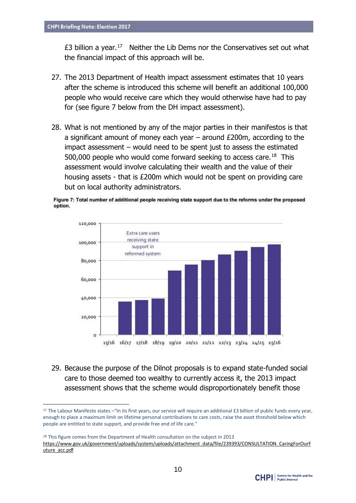1

 $£3$  billion a year.<sup>17</sup> Neither the Lib Dems nor the Conservatives set out what the financial impact of this approach will be.

- 27. The 2013 Department of Health impact assessment estimates that 10 years after the scheme is introduced this scheme will benefit an additional 100,000 people who would receive care which they would otherwise have had to pay for (see figure 7 below from the DH impact assessment).
- 28. What is not mentioned by any of the major parties in their manifestos is that a significant amount of money each year – around £200m, according to the impact assessment – would need to be spent just to assess the estimated 500,000 people who would come forward seeking to access care.<sup>18</sup> This assessment would involve calculating their wealth and the value of their housing assets - that is £200m which would not be spent on providing care but on local authority administrators.





29. Because the purpose of the Dilnot proposals is to expand state-funded social care to those deemed too wealthy to currently access it, the 2013 impact assessment shows that the scheme would disproportionately benefit those

<sup>&</sup>lt;sup>18</sup> This figure comes from the Department of Health consultation on the subject in 2013 [https://www.gov.uk/government/uploads/system/uploads/attachment\\_data/file/239393/CONSULTATION\\_CaringForOurF](https://www.gov.uk/government/uploads/system/uploads/attachment_data/file/239393/CONSULTATION_CaringForOurFuture_acc.pdf) [uture\\_acc.pdf](https://www.gov.uk/government/uploads/system/uploads/attachment_data/file/239393/CONSULTATION_CaringForOurFuture_acc.pdf)



<sup>&</sup>lt;sup>17</sup> The Labour Manifesto states – "In its first years, our service will require an additional £3 billion of public funds every year, enough to place a maximum limit on lifetime personal contributions to care costs, raise the asset threshold below which people are entitled to state support, and provide free end of life care."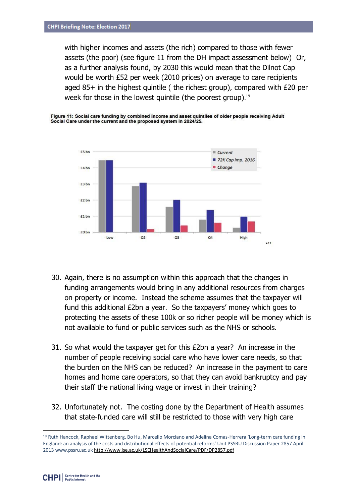with higher incomes and assets (the rich) compared to those with fewer assets (the poor) (see figure 11 from the DH impact assessment below) Or, as a further analysis found, by 2030 this would mean that the Dilnot Cap would be worth £52 per week (2010 prices) on average to care recipients aged 85+ in the highest quintile ( the richest group), compared with £20 per week for those in the lowest quintile (the poorest group). 19





- 30. Again, there is no assumption within this approach that the changes in funding arrangements would bring in any additional resources from charges on property or income. Instead the scheme assumes that the taxpayer will fund this additional £2bn a year. So the taxpayers' money which goes to protecting the assets of these 100k or so richer people will be money which is not available to fund or public services such as the NHS or schools.
- 31. So what would the taxpayer get for this £2bn a year? An increase in the number of people receiving social care who have lower care needs, so that the burden on the NHS can be reduced? An increase in the payment to care homes and home care operators, so that they can avoid bankruptcy and pay their staff the national living wage or invest in their training?
- 32. Unfortunately not. The costing done by the Department of Health assumes that state-funded care will still be restricted to those with very high care

<sup>19</sup> Ruth Hancock, Raphael Wittenberg, Bo Hu, Marcello Morciano and Adelina Comas-Herrera 'Long-term care funding in England: an analysis of the costs and distributional effects of potential reforms' Unit PSSRU Discussion Paper 2857 April 2013 www.pssru.ac.u[k http://www.lse.ac.uk/LSEHealthAndSocialCare/PDF/DP2857.pdf](http://www.lse.ac.uk/LSEHealthAndSocialCare/PDF/DP2857.pdf)